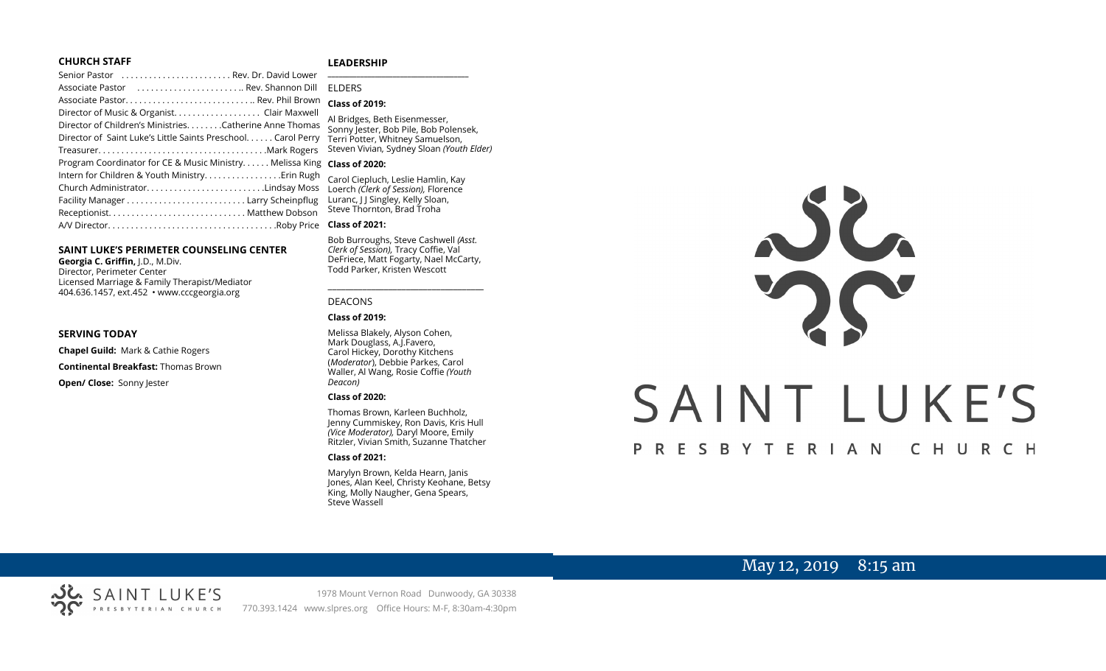#### **CHURCH STAFF**

#### **LEADERSHIP**

| Senior Pastor  Rev. Dr. David Lower                           | $\overline{\phantom{a}}$ |
|---------------------------------------------------------------|--------------------------|
| Associate Pastor  Rev. Shannon Dill                           | EI                       |
|                                                               | <b>C</b>                 |
| Director of Music & Organist. Clair Maxwell                   | $\overline{A}$           |
| Director of Children's Ministries. Catherine Anne Thomas      | $\overline{\mathsf{S}}$  |
| Director of Saint Luke's Little Saints Preschool. Carol Perry | Tε                       |
|                                                               | St                       |
| Program Coordinator for CE & Music Ministry. Melissa King     | $\mathsf{C}$             |
| Intern for Children & Youth MinistryErin Rugh                 | C                        |
| Church AdministratorLindsay Moss                              | L <sub>C</sub>           |
|                                                               | Lι                       |
|                                                               | St                       |
|                                                               | <b>C</b>                 |
|                                                               |                          |

#### **SAINT LUKE'S PERIMETER COUNSELING CENTER**

**Georgia C. Griffin,** J.D., M.Div. Director, Perimeter Center Licensed Marriage & Family Therapist/Mediator 404.636.1457, ext.452 • www.cccgeorgia.org

#### **SERVING TODAY**

**Chapel Guild:** Mark & Cathie Rogers

**Continental Breakfast:** Thomas Brown

**Open/ Close:** Sonny Jester

#### **\_\_\_\_\_\_\_\_\_\_\_\_\_\_\_\_\_\_\_\_\_\_\_\_\_\_\_\_\_\_\_\_\_\_\_\_\_\_\_** ELDERS

#### **Class of 2019:**

Bridges, Beth Eisenmesser, onny Jester, Bob Pile, Bob Polensek, erri Potter, Whitney Samuelson, Steven Vivian*,* Sydney Sloan *(Youth Elder)*

#### **Class of 2020:**

arol Ciepluch, Leslie Hamlin, Kay Loerch *(Clerk of Session),* Florence Luranc, J J Singley, Kelly Sloan,  $t$ eve Thornton, Brad Troha

#### **Class of 2021:**

Bob Burroughs, Steve Cashwell *(Asst. Clerk of Session),* Tracy Coffie, Val DeFriece, Matt Fogarty, Nael McCarty, Todd Parker, Kristen Wescott

\_\_\_\_\_\_\_\_\_\_\_\_\_\_\_\_\_\_\_\_\_\_\_\_\_\_\_\_\_\_\_\_\_\_\_\_

#### DEACONS

#### **Class of 2019:**

Melissa Blakely, Alyson Cohen, Mark Douglass, A.J.Favero, Carol Hickey, Dorothy Kitchens (*Moderator*), Debbie Parkes, Carol Waller, Al Wang, Rosie Coffie *(Youth Deacon)* 

#### **Class of 2020:**

Thomas Brown, Karleen Buchholz, Jenny Cummiskey, Ron Davis, Kris Hull *(Vice Moderator),* Daryl Moore, Emily Ritzler, Vivian Smith, Suzanne Thatcher

#### **Class of 2021:**

Marylyn Brown, Kelda Hearn, Janis Jones, Alan Keel, Christy Keohane, Betsy King, Molly Naugher, Gena Spears, Steve Wassell



# May 12, 2019 8:15 am

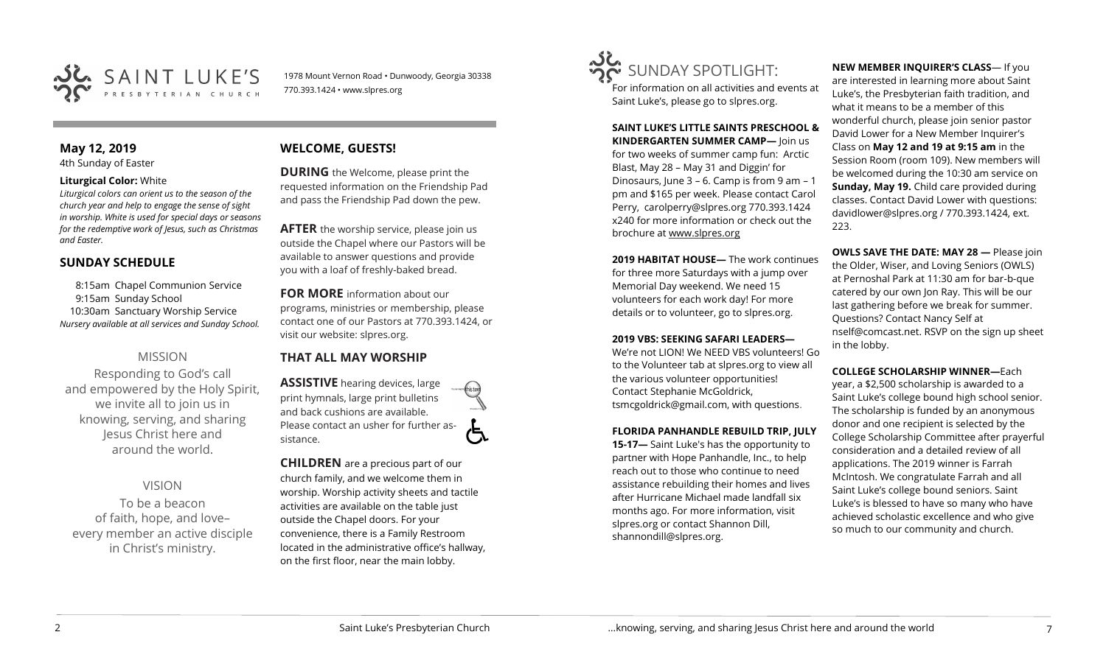

1978 Mount Vernon Road • Dunwoody, Georgia 30338 770.393.1424 • www.slpres.org

# **May 12, 2019**

4th Sunday of Easter

#### **Liturgical Color:** White

*Liturgical colors can orient us to the season of the church year and help to engage the sense of sight in worship. White is used for special days or seasons for the redemptive work of Jesus, such as Christmas and Easter.*

## **SUNDAY SCHEDULE**

8:15am Chapel Communion Service 9:15am Sunday School 10:30am Sanctuary Worship Service *Nursery available at all services and Sunday School.* 

# MISSION

Responding to God's call and empowered by the Holy Spirit, we invite all to join us in knowing, serving, and sharing Jesus Christ here and around the world.

# VISION

To be a beacon of faith, hope, and love– every member an active disciple in Christ's ministry.

# **WELCOME, GUESTS!**

**DURING** the Welcome, please print the requested information on the Friendship Pad and pass the Friendship Pad down the pew.

**AFTER** the worship service, please join us outside the Chapel where our Pastors will be available to answer questions and provide you with a loaf of freshly-baked bread.

**FOR MORE** information about our programs, ministries or membership, please contact one of our Pastors at 770.393.1424, or visit our website: slpres.org.

### **THAT ALL MAY WORSHIP**

**ASSISTIVE** hearing devices, large print hymnals, large print bulletins and back cushions are available. Please contact an usher for further assistance.

**CHILDREN** are a precious part of our church family, and we welcome them in worship. Worship activity sheets and tactile activities are available on the table just outside the Chapel doors. For your convenience, there is a Family Restroom located in the administrative office's hallway, on the first floor, near the main lobby.



For information on all activities and events at Saint Luke's, please go to slpres.org.

**SAINT LUKE'S LITTLE SAINTS PRESCHOOL & KINDERGARTEN SUMMER CAMP—** Join us for two weeks of summer camp fun: Arctic Blast, May 28 – May 31 and Diggin' for Dinosaurs, June 3 – 6. Camp is from 9 am – 1 pm and \$165 per week. Please contact Carol Perry, [carolperry@slpres.org](mailto:carolperry@slpres.org) 770.393.1424 x240 for more information or check out the brochure at [www.slpres.org](http://www.slpres.org)

**2019 HABITAT HOUSE—** The work continues for three more Saturdays with a jump over Memorial Day weekend. We need 15 volunteers for each work day! For more details or to volunteer, go to slpres.org.

#### **2019 VBS: SEEKING SAFARI LEADERS—**

We're not LION! We NEED VBS volunteers! Go to the Volunteer tab at slpres.org to view all the various volunteer opportunities! Contact Stephanie McGoldrick, tsmcgoldrick@gmail.com, with questions.

#### **FLORIDA PANHANDLE REBUILD TRIP, JULY**

**15-17—** Saint Luke's has the opportunity to partner with Hope Panhandle, Inc., to help reach out to those who continue to need assistance rebuilding their homes and lives after Hurricane Michael made landfall six months ago. For more information, visit slpres.org or contact Shannon Dill, shannondill@slpres.org.

**NEW MEMBER INQUIRER'S CLASS**— If you are interested in learning more about Saint Luke's, the Presbyterian faith tradition, and what it means to be a member of this wonderful church, please join senior pastor David Lower for a New Member Inquirer's Class on **May 12 and 19 at 9:15 am** in the Session Room (room 109). New members will be welcomed during the 10:30 am service on **Sunday, May 19.** Child care provided during classes. Contact David Lower with questions: davidlower@slpres.org / 770.393.1424, ext. 223.

**OWLS SAVE THE DATE: MAY 28 —** Please join the Older, Wiser, and Loving Seniors (OWLS) at Pernoshal Park at 11:30 am for bar-b-que catered by our own Jon Ray. This will be our last gathering before we break for summer. Questions? Contact Nancy Self at nself@comcast.net. RSVP on the sign up sheet in the lobby.

#### **COLLEGE SCHOLARSHIP WINNER—**Each

year, a \$2,500 scholarship is awarded to a Saint Luke's college bound high school senior. The scholarship is funded by an anonymous donor and one recipient is selected by the College Scholarship Committee after prayerful consideration and a detailed review of all applications. The 2019 winner is Farrah McIntosh. We congratulate Farrah and all Saint Luke's college bound seniors. Saint Luke's is blessed to have so many who have achieved scholastic excellence and who give so much to our community and church.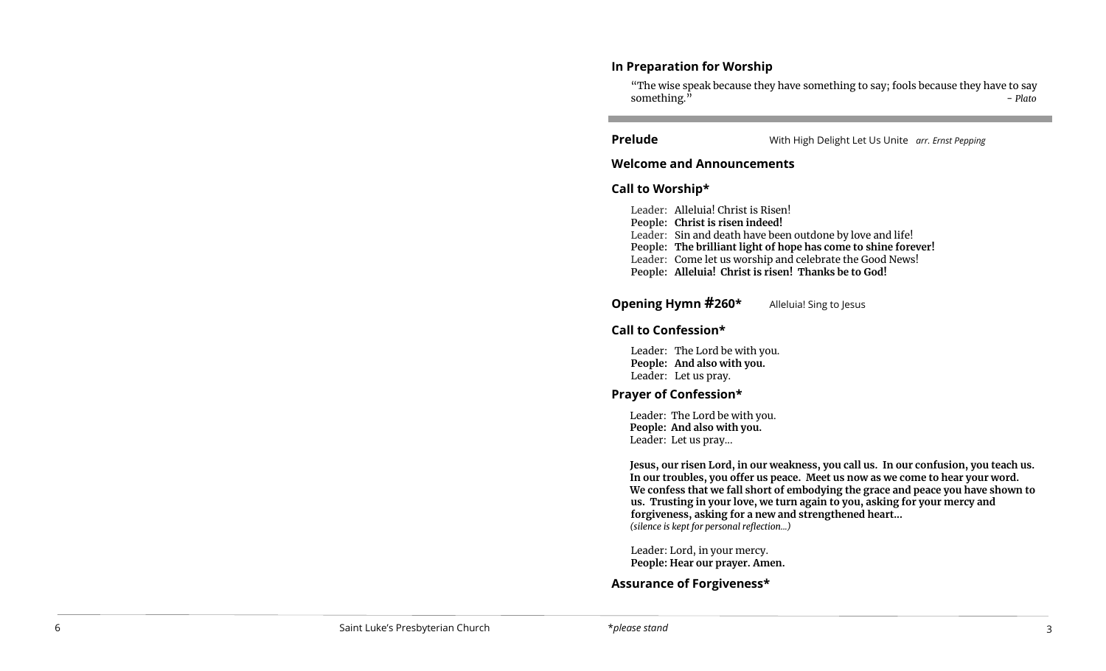## **In Preparation for Worship**

"The wise speak because they have something to say; fools because they have to say something. " - *Plato*   $\overline{a}$ 

l

**Prelude** With High Delight Let Us Unite *arr. Ernst Pepping*

### **Welcome and Announcements**

### **Call to Worship\***

Leader: Alleluia! Christ is Risen! **People: Christ is risen indeed!** Leader: Sin and death have been outdone by love and life! **People: The brilliant light of hope has come to shine forever!** Leader: Come let us worship and celebrate the Good News! **People: Alleluia! Christ is risen! Thanks be to God!**

#### **Opening Hymn #260\*** Alleluia! Sing to Jesus

# **Call to Confession\***

Leader: The Lord be with you. **People: And also with you.**  Leader: Let us pray.

# **Prayer of Confession\***

Leader: The Lord be with you. **People: And also with you.** Leader: Let us pray...

**Jesus, our risen Lord, in our weakness, you call us. In our confusion, you teach us. In our troubles, you offer us peace. Meet us now as we come to hear your word. We confess that we fall short of embodying the grace and peace you have shown to us. Trusting in your love, we turn again to you, asking for your mercy and forgiveness, asking for a new and strengthened heart...** *(silence is kept for personal reflection...)*

Leader: Lord, in your mercy. **People: Hear our prayer. Amen.**

# **Assurance of Forgiveness\***